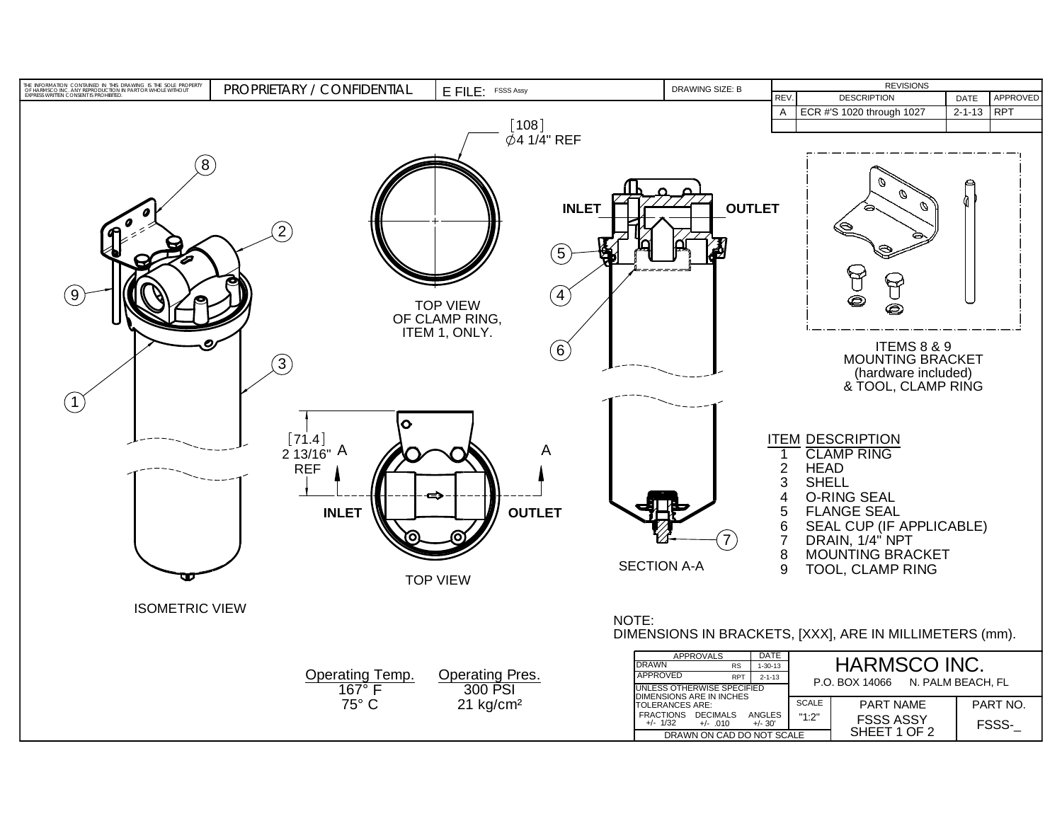